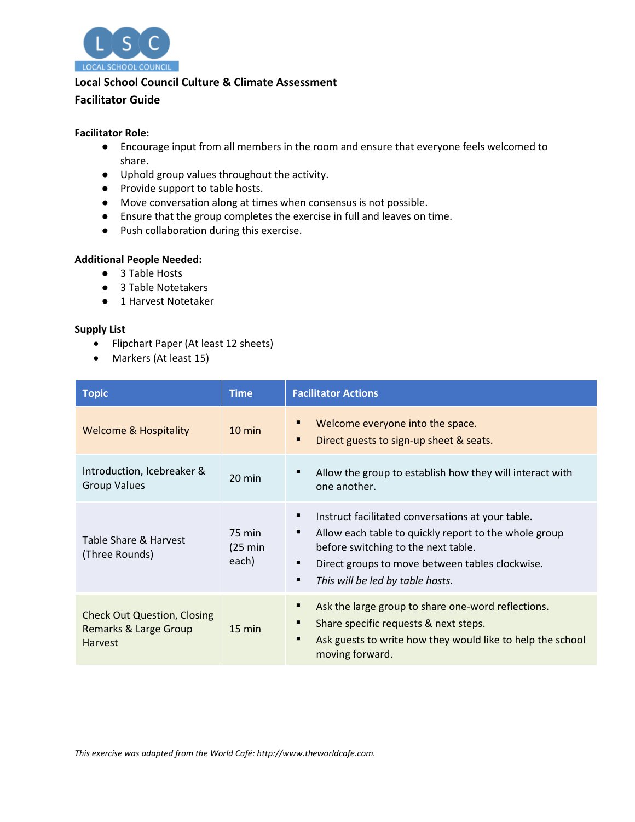

# **Local School Council Culture & Climate Assessment**

## **Facilitator Guide**

### **Facilitator Role:**

- Encourage input from all members in the room and ensure that everyone feels welcomed to share.
- Uphold group values throughout the activity.
- Provide support to table hosts.
- Move conversation along at times when consensus is not possible.
- Ensure that the group completes the exercise in full and leaves on time.
- Push collaboration during this exercise.

#### **Additional People Needed:**

- 3 Table Hosts
- 3 Table Notetakers
- 1 Harvest Notetaker

### **Supply List**

- Flipchart Paper (At least 12 sheets)
- Markers (At least 15)

| <b>Topic</b>                                                                             | <b>Time</b>                           | <b>Facilitator Actions</b>                                                                                                                                                                                                                    |
|------------------------------------------------------------------------------------------|---------------------------------------|-----------------------------------------------------------------------------------------------------------------------------------------------------------------------------------------------------------------------------------------------|
| <b>Welcome &amp; Hospitality</b>                                                         | $10 \text{ min}$                      | Welcome everyone into the space.<br>Ξ<br>Direct guests to sign-up sheet & seats.<br>п                                                                                                                                                         |
| Introduction, Icebreaker &<br><b>Group Values</b>                                        | $20 \text{ min}$                      | Allow the group to establish how they will interact with<br>■<br>one another.                                                                                                                                                                 |
| Table Share & Harvest<br>(Three Rounds)                                                  | 75 min<br>$(25 \text{ min})$<br>each) | Instruct facilitated conversations at your table.<br>Allow each table to quickly report to the whole group<br>٠<br>before switching to the next table.<br>Direct groups to move between tables clockwise.<br>This will be led by table hosts. |
| <b>Check Out Question, Closing</b><br><b>Remarks &amp; Large Group</b><br><b>Harvest</b> | $15 \text{ min}$                      | Ask the large group to share one-word reflections.<br>Share specific requests & next steps.<br>п<br>Ask guests to write how they would like to help the school<br>٠<br>moving forward.                                                        |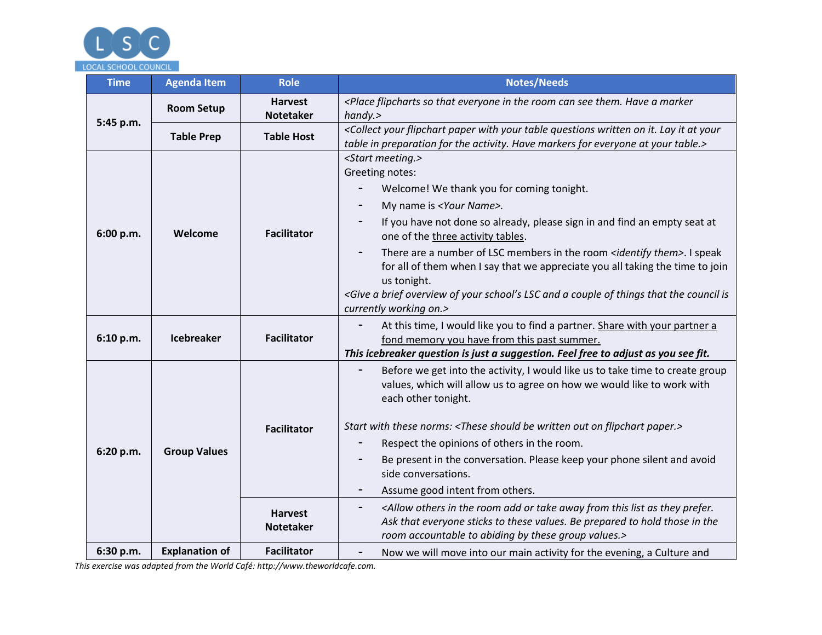

| <b>Time</b> | <b>Agenda Item</b>    | <b>Role</b>                                              | <b>Notes/Needs</b>                                                                                                                                                                                                                                                                                                                                                                                                                                                                                                                                                                                                                                                                                                                                              |
|-------------|-----------------------|----------------------------------------------------------|-----------------------------------------------------------------------------------------------------------------------------------------------------------------------------------------------------------------------------------------------------------------------------------------------------------------------------------------------------------------------------------------------------------------------------------------------------------------------------------------------------------------------------------------------------------------------------------------------------------------------------------------------------------------------------------------------------------------------------------------------------------------|
| 5:45 p.m.   | <b>Room Setup</b>     | <b>Harvest</b>                                           | <place a="" can="" everyone="" flipcharts="" have="" in="" marker<="" room="" see="" so="" th="" that="" the="" them.=""></place>                                                                                                                                                                                                                                                                                                                                                                                                                                                                                                                                                                                                                               |
|             |                       | <b>Notetaker</b>                                         | handy.                                                                                                                                                                                                                                                                                                                                                                                                                                                                                                                                                                                                                                                                                                                                                          |
|             | <b>Table Prep</b>     | <b>Table Host</b>                                        | <collect at="" flipchart="" it="" it.="" lay="" on="" paper="" questions="" table="" with="" written="" your="" your<br="">table in preparation for the activity. Have markers for everyone at your table.&gt;</collect>                                                                                                                                                                                                                                                                                                                                                                                                                                                                                                                                        |
| 6:00 p.m.   | Welcome               | <b>Facilitator</b>                                       | <start meeting.=""><br/>Greeting notes:<br/>Welcome! We thank you for coming tonight.<br/>My name is <your name="">.<br/>If you have not done so already, please sign in and find an empty seat at<br/>one of the three activity tables.<br/>There are a number of LSC members in the room <identify them="">. I speak<br/>for all of them when I say that we appreciate you all taking the time to join<br/>us tonight.<br/><give a="" and="" brief="" council="" couple="" is<br="" lsc="" of="" overview="" school's="" that="" the="" things="" your="">currently working on.&gt;</give></identify></your></start>                                                                                                                                          |
| 6:10 p.m.   | <b>Icebreaker</b>     | <b>Facilitator</b>                                       | At this time, I would like you to find a partner. Share with your partner a<br>fond memory you have from this past summer.<br>This icebreaker question is just a suggestion. Feel free to adjust as you see fit.                                                                                                                                                                                                                                                                                                                                                                                                                                                                                                                                                |
| 6:20 p.m.   | <b>Group Values</b>   | <b>Facilitator</b><br><b>Harvest</b><br><b>Notetaker</b> | Before we get into the activity, I would like us to take time to create group<br>values, which will allow us to agree on how we would like to work with<br>each other tonight.<br>Start with these norms: <these be="" flipchart="" on="" out="" paper.="" should="" written=""><br/>Respect the opinions of others in the room.<br/>Be present in the conversation. Please keep your phone silent and avoid<br/>side conversations.<br/>Assume good intent from others.<br/><allow add="" as="" away="" from="" in="" list="" or="" others="" prefer.<br="" room="" take="" the="" they="" this="">-<br/>Ask that everyone sticks to these values. Be prepared to hold those in the<br/>room accountable to abiding by these group values.&gt;</allow></these> |
| 6:30 p.m.   | <b>Explanation of</b> | <b>Facilitator</b>                                       | Now we will move into our main activity for the evening, a Culture and<br>-                                                                                                                                                                                                                                                                                                                                                                                                                                                                                                                                                                                                                                                                                     |

*This exercise was adapted from the World Café: http://www.theworldcafe.com.*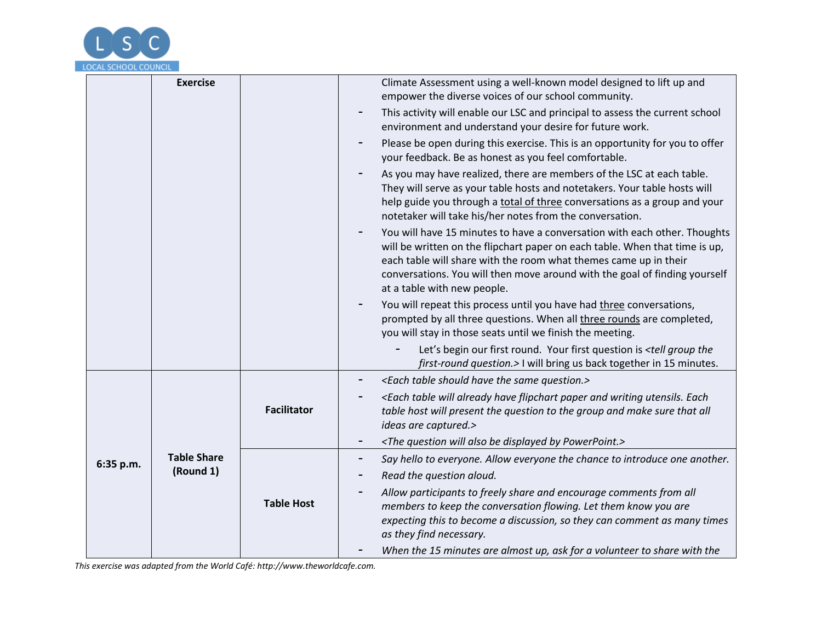

|           | <b>Exercise</b>                 |                    | Climate Assessment using a well-known model designed to lift up and<br>empower the diverse voices of our school community.                                                                                                                                                                                                                |
|-----------|---------------------------------|--------------------|-------------------------------------------------------------------------------------------------------------------------------------------------------------------------------------------------------------------------------------------------------------------------------------------------------------------------------------------|
|           |                                 |                    | This activity will enable our LSC and principal to assess the current school<br>environment and understand your desire for future work.                                                                                                                                                                                                   |
|           |                                 |                    | Please be open during this exercise. This is an opportunity for you to offer<br>your feedback. Be as honest as you feel comfortable.                                                                                                                                                                                                      |
|           |                                 |                    | As you may have realized, there are members of the LSC at each table.<br>They will serve as your table hosts and notetakers. Your table hosts will<br>help guide you through a total of three conversations as a group and your<br>notetaker will take his/her notes from the conversation.                                               |
|           |                                 |                    | You will have 15 minutes to have a conversation with each other. Thoughts<br>will be written on the flipchart paper on each table. When that time is up,<br>each table will share with the room what themes came up in their<br>conversations. You will then move around with the goal of finding yourself<br>at a table with new people. |
|           |                                 |                    | You will repeat this process until you have had three conversations,<br>prompted by all three questions. When all three rounds are completed,<br>you will stay in those seats until we finish the meeting.                                                                                                                                |
|           |                                 |                    | Let's begin our first round. Your first question is <tell group="" the<br="">first-round question.&gt; I will bring us back together in 15 minutes.</tell>                                                                                                                                                                                |
|           |                                 |                    | <each have="" question.="" same="" should="" table="" the=""></each>                                                                                                                                                                                                                                                                      |
|           |                                 | <b>Facilitator</b> | <each already="" and="" each<br="" flipchart="" have="" paper="" table="" utensils.="" will="" writing="">table host will present the question to the group and make sure that all<br/>ideas are captured.&gt;</each>                                                                                                                     |
|           |                                 |                    | <the also="" be="" by="" displayed="" powerpoint.="" question="" will=""></the>                                                                                                                                                                                                                                                           |
| 6:35 p.m. | <b>Table Share</b><br>(Round 1) |                    | Say hello to everyone. Allow everyone the chance to introduce one another.                                                                                                                                                                                                                                                                |
|           |                                 |                    | Read the question aloud.                                                                                                                                                                                                                                                                                                                  |
|           |                                 | <b>Table Host</b>  | Allow participants to freely share and encourage comments from all<br>members to keep the conversation flowing. Let them know you are<br>expecting this to become a discussion, so they can comment as many times<br>as they find necessary.                                                                                              |
|           |                                 |                    | When the 15 minutes are almost up, ask for a volunteer to share with the                                                                                                                                                                                                                                                                  |

*This exercise was adapted from the World Café: http://www.theworldcafe.com.*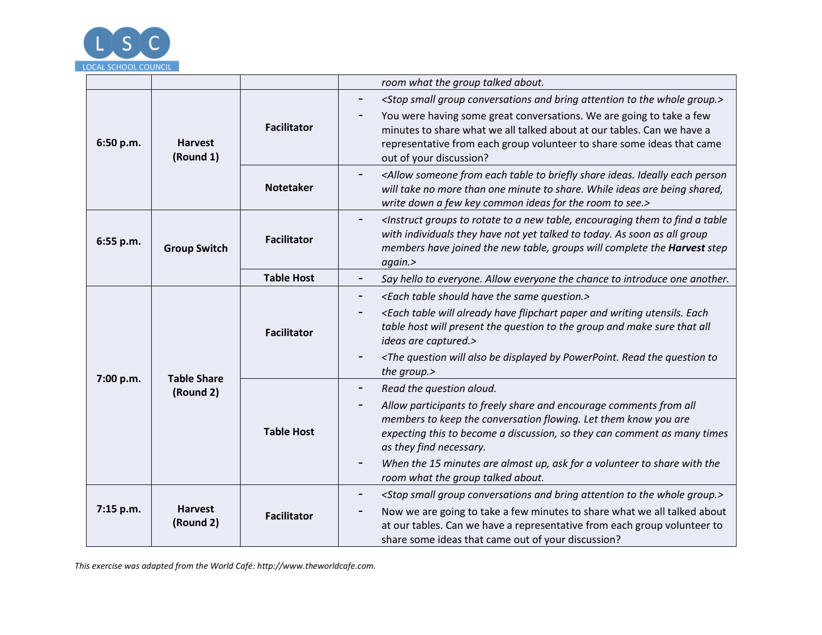

|                                              |                             |                    | room what the group talked about.                                                                                                                                                                                                                                                                                                                                                                                    |
|----------------------------------------------|-----------------------------|--------------------|----------------------------------------------------------------------------------------------------------------------------------------------------------------------------------------------------------------------------------------------------------------------------------------------------------------------------------------------------------------------------------------------------------------------|
| 6:50 p.m.<br><b>Harvest</b><br>(Round 1)     |                             | <b>Facilitator</b> | <stop and="" attention="" bring="" conversations="" group="" group.="" small="" the="" to="" whole=""><br/>You were having some great conversations. We are going to take a few<br/>minutes to share what we all talked about at our tables. Can we have a<br/>representative from each group volunteer to share some ideas that came<br/>out of your discussion?</stop>                                             |
|                                              |                             | <b>Notetaker</b>   | <allow briefly="" each="" from="" ideally="" ideas.="" person<br="" share="" someone="" table="" to="">will take no more than one minute to share. While ideas are being shared,<br/>write down a few key common ideas for the room to see.&gt;</allow>                                                                                                                                                              |
| 6:55 p.m.                                    | <b>Group Switch</b>         | <b>Facilitator</b> | <instruct a="" encouraging="" find="" groups="" new="" rotate="" table,="" table<br="" them="" to="">-<br/>with individuals they have not yet talked to today. As soon as all group<br/>members have joined the new table, groups will complete the Harvest step<br/>again.&gt;</instruct>                                                                                                                           |
|                                              |                             | <b>Table Host</b>  | Say hello to everyone. Allow everyone the chance to introduce one another.                                                                                                                                                                                                                                                                                                                                           |
| <b>Table Share</b><br>7:00 p.m.<br>(Round 2) |                             | <b>Facilitator</b> | <each have="" question.="" same="" should="" table="" the=""><br/>-<br/><each already="" and="" each<br="" flipchart="" have="" paper="" table="" utensils.="" will="" writing="">table host will present the question to the group and make sure that all<br/>ideas are captured.&gt;<br/><the also="" be="" by="" displayed="" powerpoint.="" question="" read="" th="" the="" to<="" will=""></the></each></each> |
|                                              |                             | <b>Table Host</b>  | the group.><br>Read the question aloud.<br>-<br>Allow participants to freely share and encourage comments from all<br>members to keep the conversation flowing. Let them know you are<br>expecting this to become a discussion, so they can comment as many times<br>as they find necessary.<br>When the 15 minutes are almost up, ask for a volunteer to share with the<br>-<br>room what the group talked about.   |
| 7:15 p.m.                                    | <b>Harvest</b><br>(Round 2) | <b>Facilitator</b> | <stop and="" attention="" bring="" conversations="" group="" group.="" small="" the="" to="" whole=""><br/>Now we are going to take a few minutes to share what we all talked about<br/>at our tables. Can we have a representative from each group volunteer to<br/>share some ideas that came out of your discussion?</stop>                                                                                       |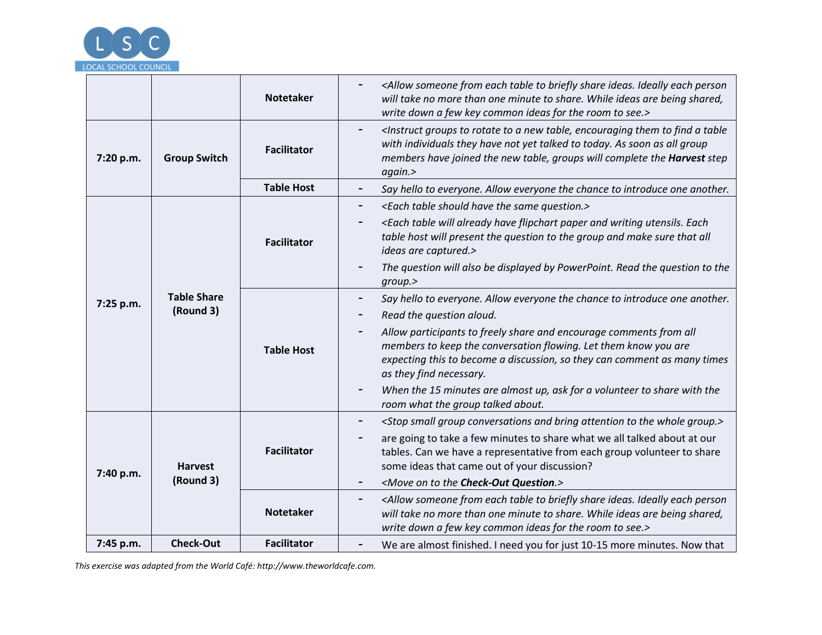

|                                              |                     | <b>Notetaker</b>                                                                                       | <allow briefly="" each="" from="" ideally="" ideas.="" person<br="" share="" someone="" table="" to="">will take no more than one minute to share. While ideas are being shared,<br/>write down a few key common ideas for the room to see.&gt;</allow>                                                                                          |
|----------------------------------------------|---------------------|--------------------------------------------------------------------------------------------------------|--------------------------------------------------------------------------------------------------------------------------------------------------------------------------------------------------------------------------------------------------------------------------------------------------------------------------------------------------|
| 7:20 p.m.                                    | <b>Group Switch</b> | <b>Facilitator</b>                                                                                     | <instruct a="" encouraging="" find="" groups="" new="" rotate="" table,="" table<br="" them="" to=""><math display="block">\qquad \qquad \blacksquare</math><br/>with individuals they have not yet talked to today. As soon as all group<br/>members have joined the new table, groups will complete the Harvest step<br/>again.&gt;</instruct> |
|                                              |                     | <b>Table Host</b>                                                                                      | Say hello to everyone. Allow everyone the chance to introduce one another.                                                                                                                                                                                                                                                                       |
|                                              |                     | <b>Facilitator</b>                                                                                     | <each have="" question.="" same="" should="" table="" the=""></each>                                                                                                                                                                                                                                                                             |
| <b>Table Share</b><br>7:25 p.m.<br>(Round 3) |                     |                                                                                                        | <each already="" and="" each<br="" flipchart="" have="" paper="" table="" utensils.="" will="" writing="">table host will present the question to the group and make sure that all<br/>ideas are captured.&gt;</each>                                                                                                                            |
|                                              |                     | The question will also be displayed by PowerPoint. Read the question to the<br>group.                  |                                                                                                                                                                                                                                                                                                                                                  |
|                                              |                     | Say hello to everyone. Allow everyone the chance to introduce one another.<br>Read the question aloud. |                                                                                                                                                                                                                                                                                                                                                  |
|                                              |                     | <b>Table Host</b>                                                                                      | Allow participants to freely share and encourage comments from all<br>members to keep the conversation flowing. Let them know you are<br>expecting this to become a discussion, so they can comment as many times<br>as they find necessary.                                                                                                     |
|                                              |                     |                                                                                                        | When the 15 minutes are almost up, ask for a volunteer to share with the<br>room what the group talked about.                                                                                                                                                                                                                                    |
|                                              |                     |                                                                                                        | <stop and="" attention="" bring="" conversations="" group="" group.="" small="" the="" to="" whole=""></stop>                                                                                                                                                                                                                                    |
| 7:40 p.m.                                    | <b>Harvest</b>      | <b>Facilitator</b>                                                                                     | are going to take a few minutes to share what we all talked about at our<br>tables. Can we have a representative from each group volunteer to share<br>some ideas that came out of your discussion?                                                                                                                                              |
|                                              | (Round 3)           |                                                                                                        | <move check-out="" on="" question.="" the="" to=""></move>                                                                                                                                                                                                                                                                                       |
|                                              |                     | <b>Notetaker</b>                                                                                       | <allow briefly="" each="" from="" ideally="" ideas.="" person<br="" share="" someone="" table="" to="">will take no more than one minute to share. While ideas are being shared,<br/>write down a few key common ideas for the room to see.&gt;</allow>                                                                                          |
| 7:45 p.m.                                    | <b>Check-Out</b>    | <b>Facilitator</b>                                                                                     | We are almost finished. I need you for just 10-15 more minutes. Now that                                                                                                                                                                                                                                                                         |

*This exercise was adapted from the World Café: http://www.theworldcafe.com.*